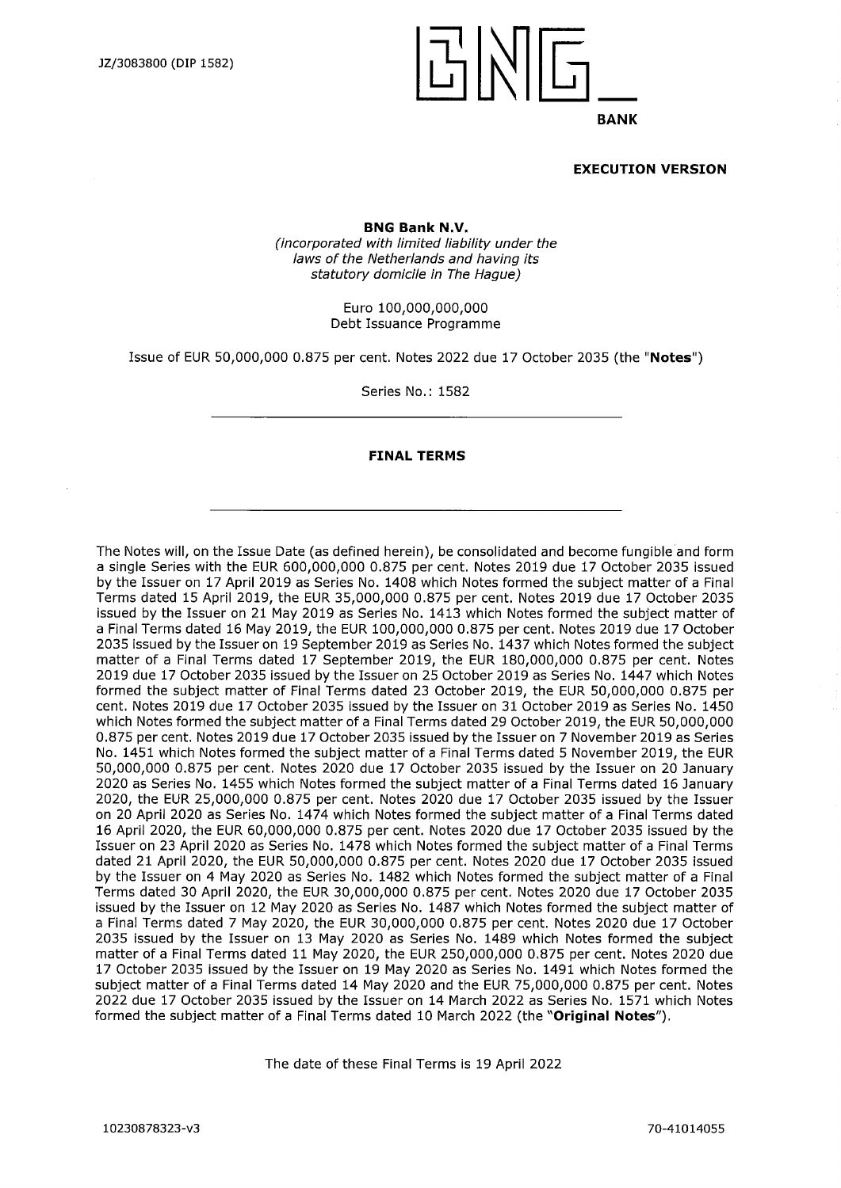

#### **EXECUTION VERSION**

**BNG Bank N.V.** *(incorporated with limited liability under the*

*laws ofthe Netherlands and having its statutory domicile in The Hague)*

> Euro 100,000,000,000 Debt Issuance Programme

Issue of EUR 50,000,000 0.875 per cent. Notes 2022 due 17 October 2035 (the **"Notes")**

Series No.: 1582

#### **FINAL TERMS**

The Notes will, on the Issue Date (as defined herein), be consolidated and become fungible and form a single Series with the EUR 600,000,000 0.875 per cent. Notes 2019 due 17 October 2035 issued by the Issuer on 17 April 2019 as Series No. 1408 which Notes formed the subject matter of a Final Terms dated 15 April 2019, the EUR 35,000,000 0.875 per cent. Notes 2019 due 17 October 2035 issued by the Issuer on 21 May 2019 as Series No. 1413 which Notes formed the subject matter of a Final Terms dated 16 May 2019, the EUR 100,000,000 0.875 per cent. Notes 2019 due 17 October 2035 issued by the Issuer on 19 September 2019 as Series No. 1437 which Notes formed the subject matter of a Final Terms dated 17 September 2019, the EUR 180,000,000 0.875 per cent. Notes 2019 due 17 October 2035 issued by the Issuer on 25 October 2019 as Series No. 1447 which Notes formed the subject matter of Final Terms dated 23 October 2019, the EUR 50,000,000 0.875 per cent. Notes 2019 due 17 October 2035 issued by the Issuer on 31 October 2019 as Series No. 1450 which Notes formed the subject matter of a Final Terms dated 29 October 2019, the EUR 50,000,000 0.875 per cent. Notes 2019 due 17 October 2035 issued by the Issuer on 7 November 2019 as Series No. 1451 which Notes formed the subject matter of a Final Terms dated 5 November 2019, the EUR 50,000,000 0.875 per cent. Notes 2020 due 17 October 2035 issued by the Issuer on 20 January 2020 as Series No. 1455 which Notes formed the subject matter of a Final Terms dated 16 January 2020, the EUR 25,000,000 0.875 per cent. Notes 2020 due 17 October 2035 issued by the Issuer on 20 April 2020 as Series No. 1474 which Notes formed the subject matter of a Final Terms dated 16 April 2020, the EUR 60,000,000 0.875 per cent. Notes 2020 due 17 October 2035 issued by the Issuer on 23 April 2020 as Series No. 1478 which Notes formed the subject matter of a Final Terms dated 21 April 2020, the EUR 50,000,000 0.875 per cent. Notes 2020 due 17 October 2035 issued by the Issuer on 4 May 2020 as Series No. 1482 which Notes formed the subject matter of a Final Terms dated 30 April 2020, the EUR 30,000,000 0.875 per cent. Notes 2020 due 17 October 2035 issued by the Issuer on 12 May 2020 as Series No. 1487 which Notes formed the subject matter of a Final Terms dated 7 May 2020, the EUR 30,000,000 0.875 per cent. Notes 2020 due 17 October 2035 issued by the Issuer on 13 May 2020 as Series No. 1489 which Notes formed the subject matter of a Final Terms dated 11 May 2020, the EUR 250,000,000 0.875 per cent. Notes 2020 due 17 October 2035 issued by the Issuer on 19 May 2020 as Series No. 1491 which Notes formed the subject matter of a Final Terms dated 14 May 2020 and the EUR 75,000,000 0.875 per cent. Notes 2022 due 17 October 2035 issued by the Issuer on 14 March 2022 as Series No. 1571 which Notes formed the subject matter of a Final Terms dated 10 March 2022 (the **"Original Notes").**

The date of these Final Terms is 19 April 2022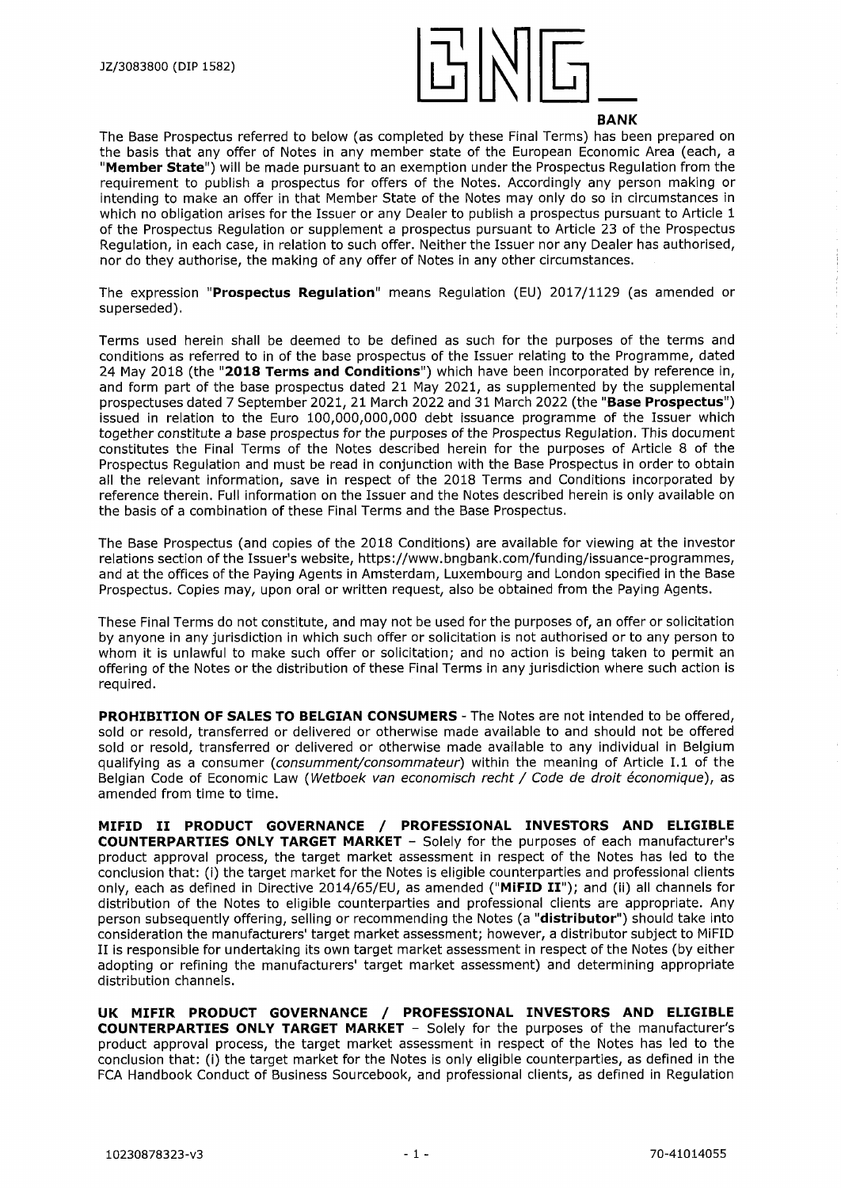

The Base Prospectus referred to below (as completed by these Final Terms) has been prepared on the basis that any offer of Notes in any member state of the European Economic Area (each, a **"Member State")** will be made pursuant to an exemption under the Prospectus Regulation from the requirement to publish a prospectus for offers of the Notes. Accordingly any person making or intending to make an offer in that Member State of the Notes may only do so in circumstances in which no obligation arises for the Issuer or any Dealer to publish a prospectus pursuant to Article 1 of the Prospectus Regulation or supplement a prospectus pursuant to Article 23 of the Prospectus Regulation, in each case, in relation to such offer. Neither the Issuer nor any Dealer has authorised, nor do they authorise, the making of any offer of Notes in any other circumstances.

The expression **"Prospectus Regulation"** means Regulation (EU) 2017/1129 (as amended or superseded).

Terms used herein shall be deemed to be defined as such for the purposes of the terms and conditions as referred to in of the base prospectus of the Issuer relating to the Programme, dated 24 May 2018 (the **"2018 Terms and Conditions")** which have been incorporated by reference in, and form part of the base prospectus dated 21 May 2021, as supplemented by the supplemental prospectuses dated 7 September 2021, 21 March 2022 and 31 March 2022 (the **"Base Prospectus")** issued in relation to the Euro 100,000,000,000 debt issuance programme of the Issuer which together constitute a base prospectus for the purposes of the Prospectus Regulation. This document constitutes the Final Terms of the Notes described herein for the purposes of Article 8 of the Prospectus Regulation and must be read in conjunction with the Base Prospectus in order to obtain all the relevant information, save in respect of the 2018 Terms and Conditions incorporated by reference therein. Full information on the Issuer and the Notes described herein is only available on the basis of a combination of these Final Terms and the Base Prospectus.

The Base Prospectus (and copies of the 2018 Conditions) are available for viewing at the investor relations section of the Issuer's website, [https://www.bngbank.com/funding/issuance-programmes,](https://www.bngbank.com/funding/issuance-programmes) and at the offices of the Paying Agents in Amsterdam, Luxembourg and London specified in the Base Prospectus. Copies may, upon oral or written request, also be obtained from the Paying Agents.

These Final Terms do not constitute, and may not be used for the purposes of, an offer or solicitation by anyone in any jurisdiction in which such offer or solicitation is not authorised or to any person to whom it is unlawful to make such offer or solicitation; and no action is being taken to permit an offering of the Notes or the distribution of these Final Terms in any jurisdiction where such action is required.

**PROHIBITION OF SALES TO BELGIAN CONSUMERS** - The Notes are not intended to be offered, sold or resold, transferred or delivered or otherwise made available to and should not be offered sold or resold, transferred or delivered or otherwise made available to any individual in Belgium qualifying as a consumer *(consumment/consommateur)* within the meaning of Article 1.1 of the Belgian Code of Economic Law *(Wetboek van economisch recht / Code de droit economique),* as amended from time to time.

**MIFID II PRODUCT GOVERNANCE / PROFESSIONAL INVESTORS AND ELIGIBLE COUNTERPARTIES ONLY TARGET MARKET** - Solely for the purposes of each manufacturer's product approval process, the target market assessment in respect of the Notes has led to the conclusion that: (i) the target market for the Notes is eligible counterparties and professional clients only, each as defined in Directive 2014/65/EU, as amended **("MiFID II");** and (ii) all channels for distribution of the Notes to eligible counterparties and professional clients are appropriate. Any person subsequently offering, selling or recommending the Notes (a **"distributor")** should take into consideration the manufacturers' target market assessment; however, a distributor subject to MiFID II is responsible for undertaking its own target market assessment in respect of the Notes (by either adopting or refining the manufacturers' target market assessment) and determining appropriate distribution channels.

**UK MIFIR PRODUCT GOVERNANCE / PROFESSIONAL INVESTORS AND ELIGIBLE COUNTERPARTIES ONLY TARGET MARKET** - Solely for the purposes of the manufacturer's product approval process, the target market assessment in respect of the Notes has led to the conclusion that: (i) the target market for the Notes is only eligible counterparties, as defined in the FCA Handbook Conduct of Business Sourcebook, and professional clients, as defined in Regulation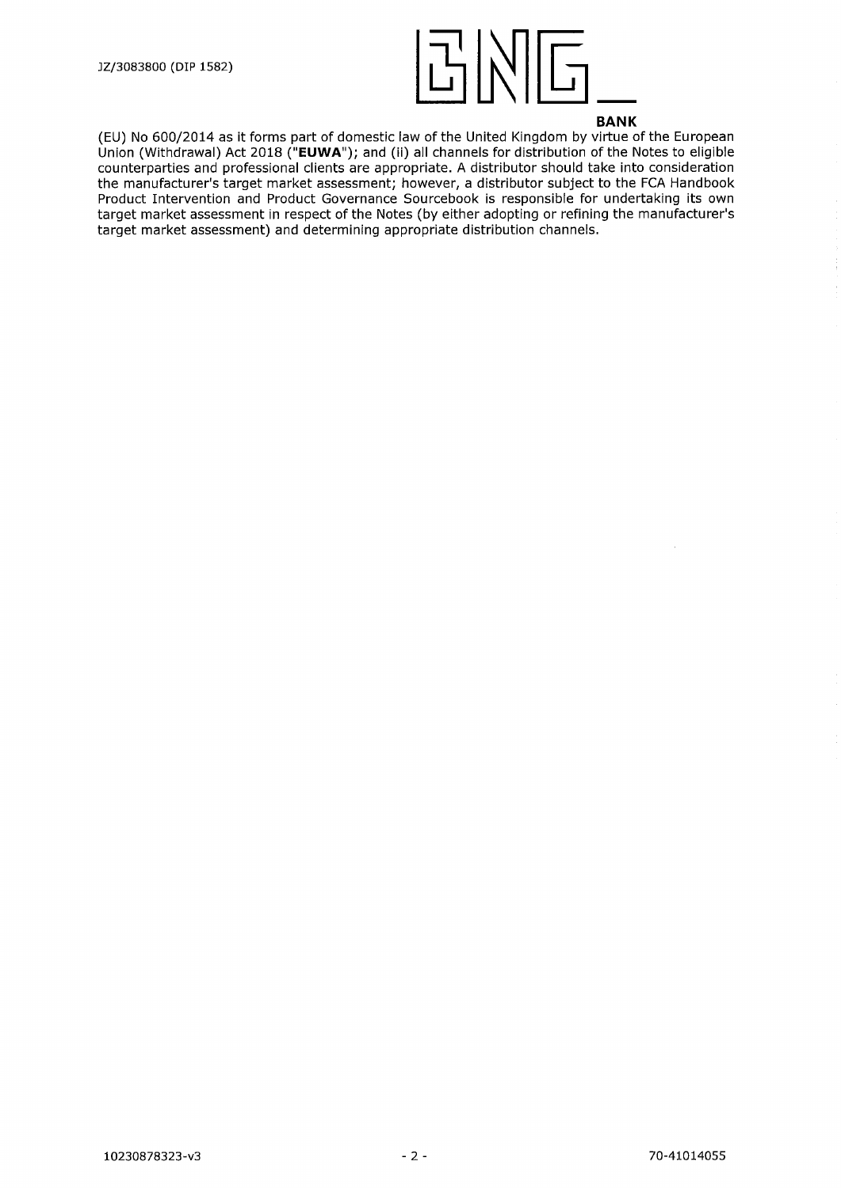

(EU) No 600/2014 as it forms part of domestic law of the United Kingdom by virtue of the European Union (Withdrawal) Act 2018 **("EUWA");** and (ii) all channels for distribution of the Notes to eligible counterparties and professional clients are appropriate. A distributor should take into consideration the manufacturer's target market assessment; however, a distributor subject to the FCA Handbook Product Intervention and Product Governance Sourcebook is responsible for undertaking its own target market assessment in respect of the Notes (by either adopting or refining the manufacturer's target market assessment) and determining appropriate distribution channels.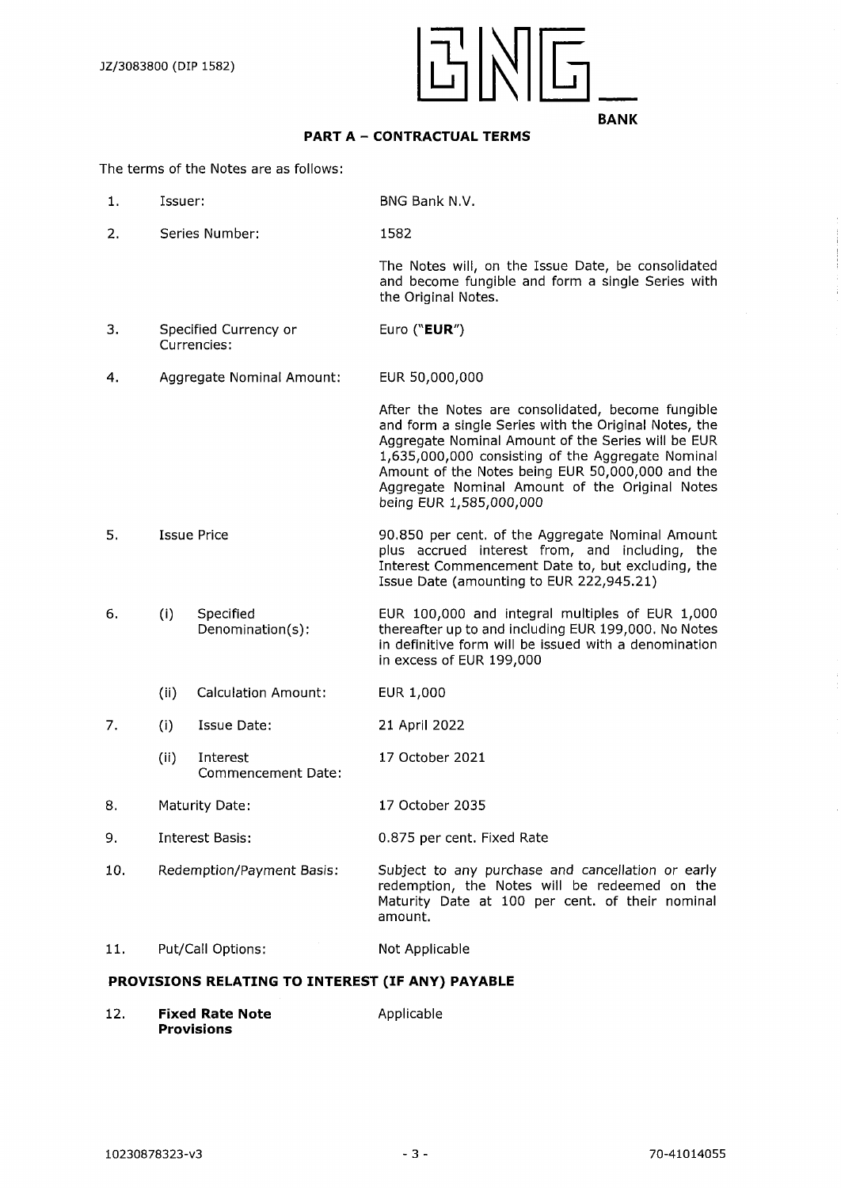

## **PART A - CONTRACTUAL TERMS**

The terms of the Notes are as follows:

- 1**.** Issuer: BNG Bank N.V.
- 2. Series Number: 1582

The Notes will, on the Issue Date, be consolidated and become fungible and form a single Series with the Original Notes.

- 3. Specified Currency or Currencies: Euro **("EUR")**
- 4. Aggregate Nominal Amount: EUR 50,000,000

After the Notes are consolidated, become fungible and form a single Series with the Original Notes, the Aggregate Nominal Amount of the Series will be EUR 1,635,000,000 consisting of the Aggregate Nominal Amount of the Notes being EUR 50,000,000 and the Aggregate Nominal Amount of the Original Notes being EUR 1,585,000,000

- 5. Issue Price 90.850 per cent, of the Aggregate Nominal Amount plus accrued interest from, and including, the Interest Commencement Date to, but excluding, the Issue Date (amounting to EUR 222,945.21)
- 6. (I) Specified Denomination(s): EUR 100,000 and integral multiples of EUR 1,000 thereafter up to and including EUR 199,000. No Notes in definitive form will be issued with a denomination in excess of EUR 199,000
	- (ii) Calculation Amount: EUR 1,000
- 7. (i) Issue Date: 21 April 2022
	- (ii) Interest Commencement Date: 17 October 2021
- 8. Maturity Date: 17 October 2035
- 9. Interest Basis: 0.875 per cent. Fixed Rate
- 10. Redemption/Payment Basis: Subject to any purchase and cancellation or early redemption, the Notes will be redeemed on the Maturity Date at 100 per cent, of their nominal amount.
- 11. Put/Call Options: Not Applicable

#### **PROVISIONS RELATING TO INTEREST (IF ANY) PAYABLE**

12. **Fixed Rate Note** Applicable **Provisions**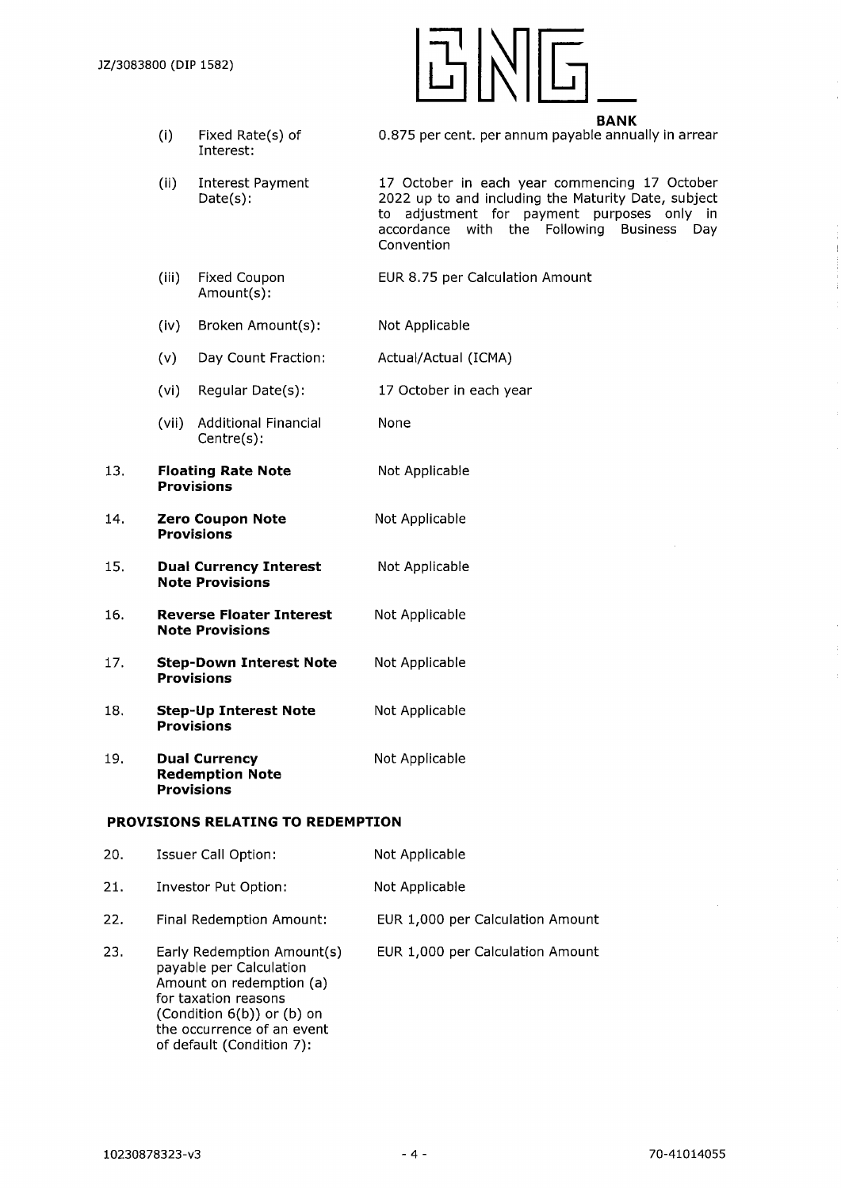

- (i) Fixed Rate(s) of Interest:
- 0.875 per cent, per annum payable annually in arrear
- (ii) Interest Payment Date(s): 17 October in each year commencing 17 October 2022 up to and including the Maturity Date, subject to adjustment for payment purposes only in accordance with the Following Business Day Convention
- (ill) Fixed Coupon Amount(s): EUR 8.75 per Calculation Amount
- (iv) Broken Amount(s): Not Applicable
- (V) Day Count Fraction: Actual/Actual (ICMA)
- (vi) Regular Date(s): 17 October in each year

None

Not Applicable

- (vii) Additional Financial Centre(s):
- 13. **Floating Rate Note Provisions**
- 14. **Zero Coupon Note** Not Applicable **Provisions**
- 15. **Dual Currency Interest** Not Applicable **Note Provisions**
- 16. **Reverse Floater Interest** Not Applicable **Note Provisions**
- 17. **Step-Down Interest Note** Not Applicable **Provisions**
- 18. **Step-Up Interest Note** Not Applicable **Provisions**
- 19. **Dual Currency** Not Applicable **Redemption Note Provisions**

#### **PROVISIONS RELATING TO REDEMPTION**

| 20. | <b>Issuer Call Option:</b>                                                                                                                                                                         | Not Applicable                   |
|-----|----------------------------------------------------------------------------------------------------------------------------------------------------------------------------------------------------|----------------------------------|
| 21. | Investor Put Option:                                                                                                                                                                               | Not Applicable                   |
| 22. | Final Redemption Amount:                                                                                                                                                                           | EUR 1,000 per Calculation Amount |
| 23. | Early Redemption Amount(s)<br>payable per Calculation<br>Amount on redemption (a)<br>for taxation reasons<br>(Condition 6(b)) or (b) on<br>the occurrence of an event<br>of default (Condition 7): | EUR 1,000 per Calculation Amount |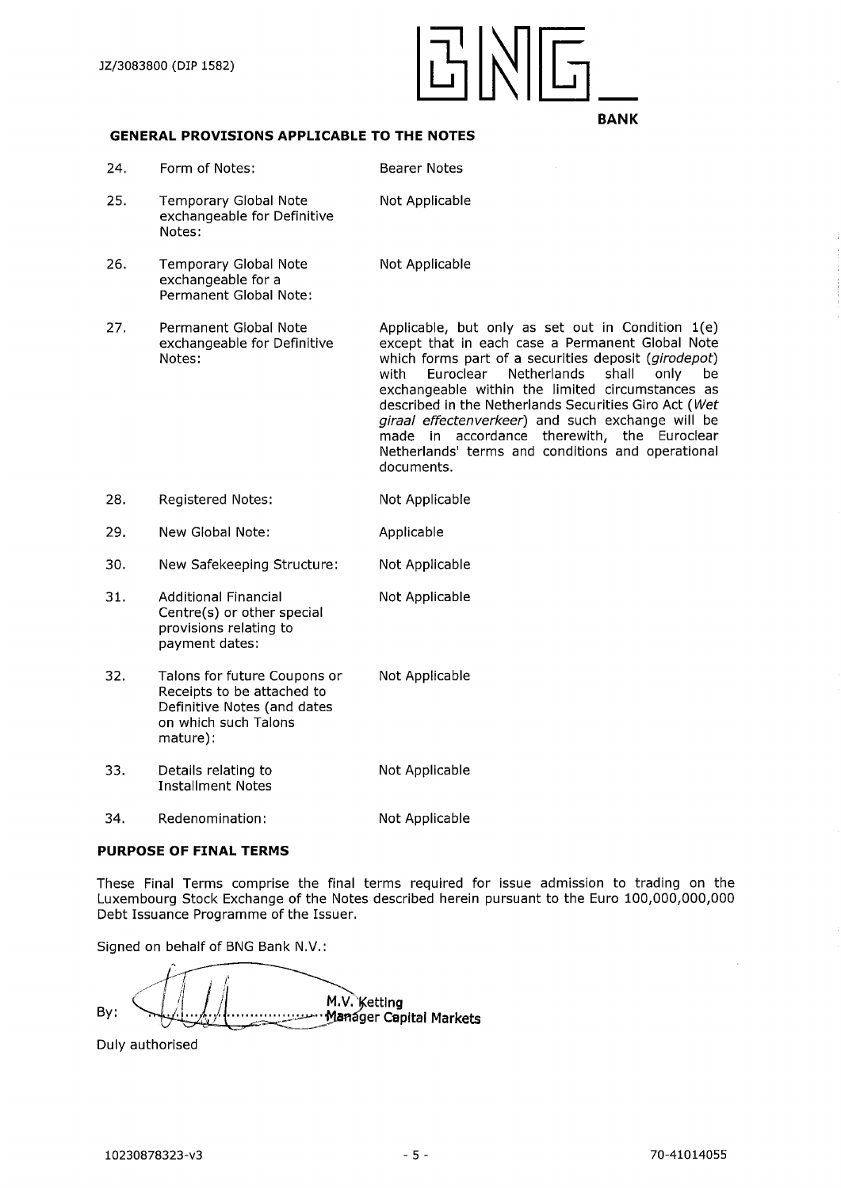

# **GENERAL PROVISIONS APPLICABLE TO THE NOTES**

| 24. | Form of Notes:                                                                                                                | Bearer Notes                                                                                                                                                                                                                                                                                                                                                                                                                                                                                                 |
|-----|-------------------------------------------------------------------------------------------------------------------------------|--------------------------------------------------------------------------------------------------------------------------------------------------------------------------------------------------------------------------------------------------------------------------------------------------------------------------------------------------------------------------------------------------------------------------------------------------------------------------------------------------------------|
| 25. | <b>Temporary Global Note</b><br>exchangeable for Definitive<br>Notes:                                                         | Not Applicable                                                                                                                                                                                                                                                                                                                                                                                                                                                                                               |
| 26. | <b>Temporary Global Note</b><br>exchangeable for a<br>Permanent Global Note:                                                  | Not Applicable                                                                                                                                                                                                                                                                                                                                                                                                                                                                                               |
| 27. | Permanent Global Note<br>exchangeable for Definitive<br>Notes:                                                                | Applicable, but only as set out in Condition 1(e)<br>except that in each case a Permanent Global Note<br>which forms part of a securities deposit (girodepot)<br>with<br>Euroclear<br>Netherlands<br>shall<br>only<br>be<br>exchangeable within the limited circumstances as<br>described in the Netherlands Securities Giro Act (Wet<br>giraal effectenverkeer) and such exchange will be<br>made in accordance therewith, the Euroclear<br>Netherlands' terms and conditions and operational<br>documents. |
| 28. | <b>Registered Notes:</b>                                                                                                      | Not Applicable                                                                                                                                                                                                                                                                                                                                                                                                                                                                                               |
| 29. | New Global Note:                                                                                                              | Applicable                                                                                                                                                                                                                                                                                                                                                                                                                                                                                                   |
| 30. | New Safekeeping Structure:                                                                                                    | Not Applicable                                                                                                                                                                                                                                                                                                                                                                                                                                                                                               |
| 31. | <b>Additional Financial</b><br>Centre(s) or other special<br>provisions relating to<br>payment dates:                         | Not Applicable                                                                                                                                                                                                                                                                                                                                                                                                                                                                                               |
| 32. | Talons for future Coupons or<br>Receipts to be attached to<br>Definitive Notes (and dates<br>on which such Talons<br>mature): | Not Applicable                                                                                                                                                                                                                                                                                                                                                                                                                                                                                               |
| 33. | Details relating to<br><b>Installment Notes</b>                                                                               | Not Applicable                                                                                                                                                                                                                                                                                                                                                                                                                                                                                               |
| 34. | Redenomination:                                                                                                               | Not Applicable                                                                                                                                                                                                                                                                                                                                                                                                                                                                                               |

# **PURPOSE OF FINAL TERMS**

These Final Terms comprise the final terms required for issue admission to trading on the Luxembourg Stock Exchange of the Notes described herein pursuant to the Euro 100,000,000,000 Debt Issuance Programme of the Issuer.

Signed on behalf of BNG Bank N.V.:

M.V. Ketting<br>Manager Capital Markets By:

Duly authorised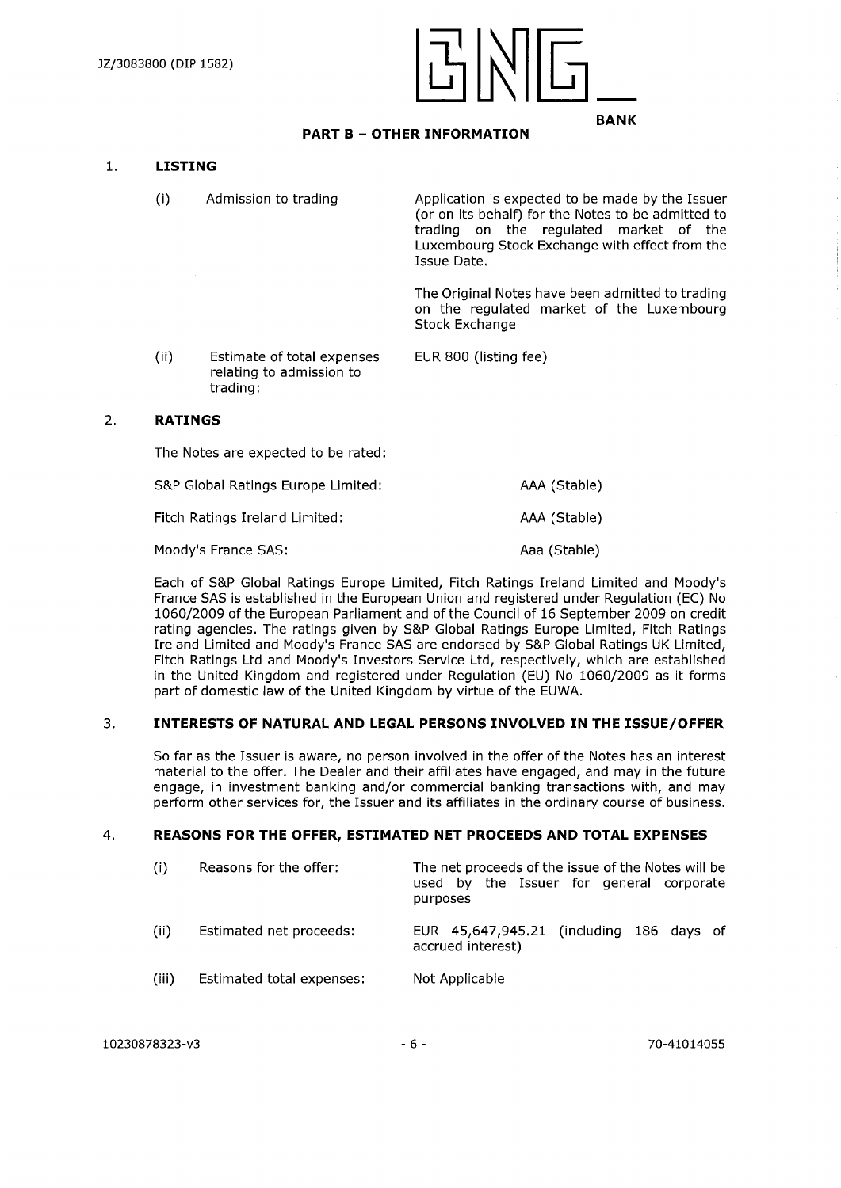

# **PART <sup>B</sup> - OTHER INFORMATION**

#### **1. LISTING**

(i) Admission to trading Application is expected to be made by the Issuer (or on its behalf) for the Notes to be admitted to trading on the regulated market of the Luxembourg Stock Exchange with effect from the Issue Date. The Original Notes have been admitted to trading on the regulated market of the Luxembourg Stock Exchange (ii) Estimate of total expenses EUR 800 (listing fee) relating to admission to

#### 2. **RATINGS**

The Notes are expected to be rated:

trading:

| S&P Global Ratings Europe Limited: | AAA (Stable) |
|------------------------------------|--------------|
| Fitch Ratings Ireland Limited:     | AAA (Stable) |
| Moody's France SAS:                | Aaa (Stable) |

Each of S&P Global Ratings Europe Limited, Fitch Ratings Ireland Limited and Moody's France SAS is established in the European Union and registered under Regulation (EC) No 1060/2009 of the European Parliament and ofthe Council of 16 September 2009 on credit rating agencies. The ratings given by S&P Global Ratings Europe Limited, Fitch Ratings Ireland Limited and Moody's France SAS are endorsed by S&P Global Ratings UK Limited, Fitch Ratings Ltd and Moody's Investors Service Ltd, respectively, which are established in the United Kingdom and registered under Regulation (EU) No 1060/2009 as it forms part of domestic law of the United Kingdom by virtue of the EUWA.

## 3. **INTERESTS OF NATURAL AND LEGAL PERSONS INVOLVED IN THE ISSUE/OFFER**

So far as the Issuer is aware, no person involved in the offer of the Notes has an interest material to the offer. The Dealer and their affiliates have engaged, and may in the future engage, in investment banking and/or commercial banking transactions with, and may perform other services for, the Issuer and its affiliates in the ordinary course of business.

#### **4. REASONS FOR THE OFFER, ESTIMATED NET PROCEEDS AND TOTAL EXPENSES**

| (i)   | Reasons for the offer:    | The net proceeds of the issue of the Notes will be<br>used by the Issuer for general corporate<br>purposes |
|-------|---------------------------|------------------------------------------------------------------------------------------------------------|
| (ii)  | Estimated net proceeds:   | EUR 45,647,945.21 (including 186 days of<br>accrued interest)                                              |
| (iii) | Estimated total expenses: | Not Applicable                                                                                             |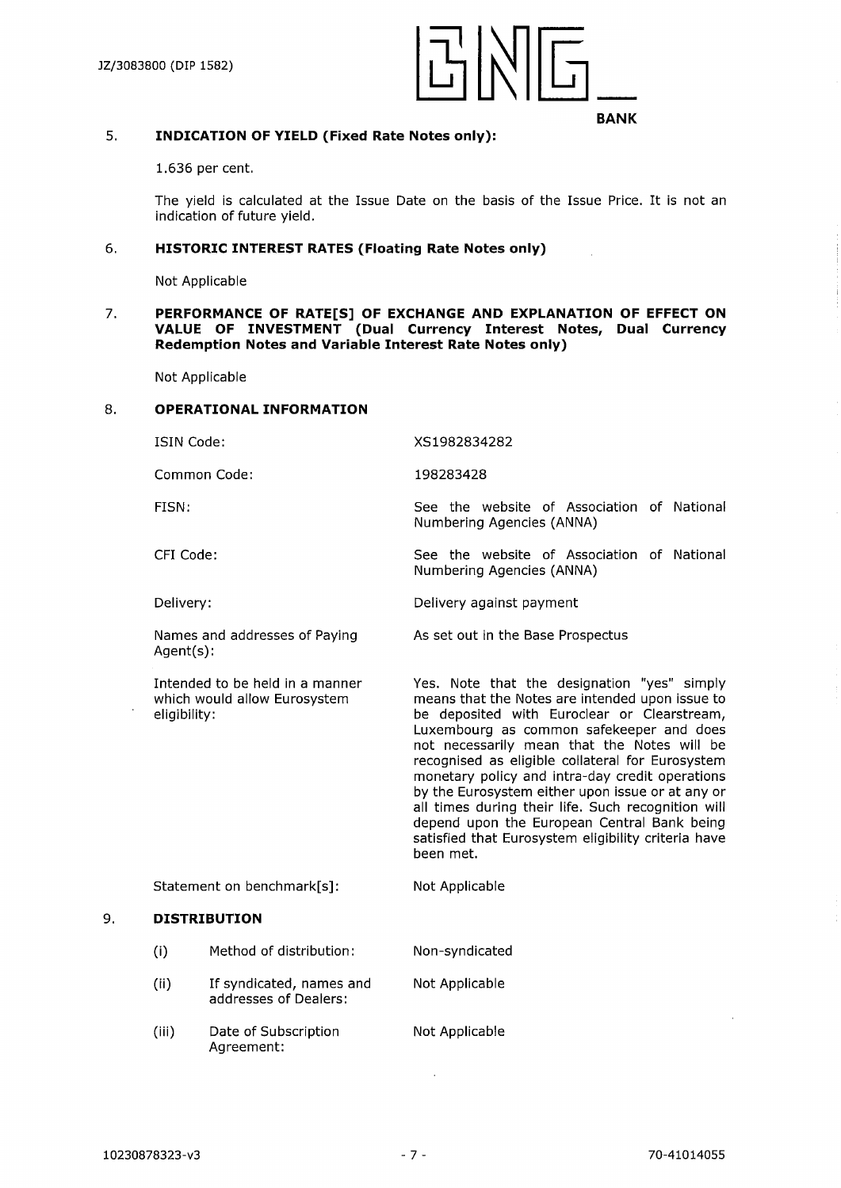

#### 5. **INDICATION OF YIELD (Fixed Rate Notes only):**

1.636 per cent.

The yield is calculated at the Issue Date on the basis of the Issue Price. It is not an indication of future yield.

XS1982834282

Numbering Agencies (ANNA)

Numbering Agencies (ANNA)

As set out in the Base Prospectus

Delivery against payment

198283428

#### 6**. HISTORIC INTEREST RATES (Floating Rate Notes only)**

Not Applicable

#### 7. **PERFORMANCE OF RATE[S] OF EXCHANGE AND EXPLANATION OF EFFECT ON VALUE OF INVESTMENT (Dual Currency Interest Notes, Dual Currency Redemption Notes and Variable Interest Rate Notes only)**

Not Applicable

#### **8. OPERATIONAL INFORMATION**

ISIN Code:

Common Code:

FISN:

CFI Code:

Delivery:

Names and addresses of Paying Agent(s):

Intended to be held in a manner which would allow Eurosystem eligibility:

Yes. Note that the designation "yes" simply means that the Notes are intended upon issue to be deposited with Euroclear or Clearstream, Luxembourg as common safekeeper and does not necessarily mean that the Notes will be recognised as eligible collateral for Eurosystem monetary policy and intra-day credit operations by the Eurosystem either upon issue or at any or all times during their life. Such recognition will depend upon the European Central Bank being satisfied that Eurosystem eligibility criteria have been met.

See the website of Association of National

See the website of Association of National

Statement on benchmark[s]: Not Applicable

#### 9. **DISTRIBUTION**

- (i) Method of distribution: Non-syndicated
- (ii) If syndicated, names and addresses of Dealers: Not Applicable
- (iii) Date of Subscription Agreement: Not Applicable